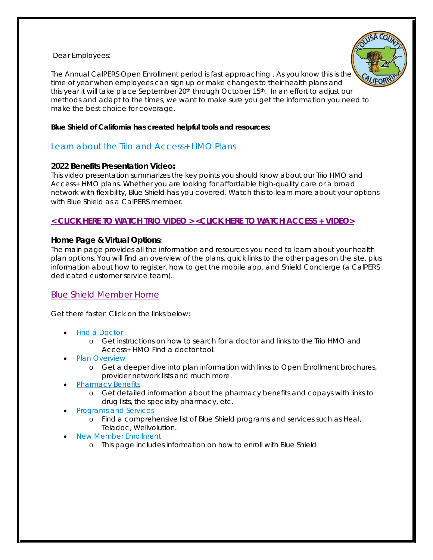Dear Employees:



The Annual CalPERS Open Enrollment period is fast approaching . As you know this is the time of year when employees can sign up or make changes to their health plans and this year it will take place September 20<sup>th</sup> through October 15<sup>th</sup>. In an effort to adjust our methods and adapt to the times, we want to make sure you get the information you need to make the best choice for coverage.

#### **Blue Shield of California has created helpful tools and resources:**

# Learn about the Trio and Access+ HMO Plans

# **2022 Benefits Presentation Video:**

This video presentation summarizes the key points you should know about our Trio HMO and Access+ HMO plans. Whether you are looking for affordable high-quality care or a broad network with flexibility, Blue Shield has you covered. Watch this to learn more about your options with Blue Shield as a CalPERS member.

# **[< CLICK HERE TO WATCH TRIO VIDEO >](https://www.youtube.com/watch?v=5KVnf_sHQac) [<CLICK HERE TO WATCH ACCESS + VIDEO>](https://www.youtube.com/watch?v=t1k2_tjbQh0)**

#### **Home Page & Virtual Options:**

The main page provides all the information and resources you need to learn about your health plan options. You will find an overview of the plans, quick links to the other pages on the site, plus information about how to register, how to get the mobile app, and Shield Concierge (a CalPERS dedicated customer service team).

# [Blue Shield Member Home](https://myoptions.blueshieldca.com/calpers/calpers/_/home)

Get there faster. Click on the links below:

- **[Find a Doctor](https://urldefense.proofpoint.com/v2/url?u=https-3A__blueshield-2Dprod.modolabs.net_bsca10_bsca10-5Ffind-5Fprovider_index&d=DwMFAg&c=Oo8bPJf7k7r_cPTz1JF7vEiFxvFRfQtp-j14fFwh71U&r=jzhNVBwi6kauKWSYmVoE-Xt_tmzg40LKCtm638S1yDE&m=-uv4mz4HWvfB1JVgJqGGCABLa-AdwkMpUdEcnQRN1DU&s=0pTDRAotGDc8PPGM9Q1srANOPRd4ogNCsktmrrS17s8&e=)** 
	- o Get instructions on how to search for a doctor and links to the Trio HMO and Access+ HMO Find a doctor tool.
- [Plan Overview](https://urldefense.proofpoint.com/v2/url?u=https-3A__blueshield-2Dprod.modolabs.net_bsca10_bsca10-5Fplans-5Fbenefits_index&d=DwMFAg&c=Oo8bPJf7k7r_cPTz1JF7vEiFxvFRfQtp-j14fFwh71U&r=jzhNVBwi6kauKWSYmVoE-Xt_tmzg40LKCtm638S1yDE&m=-uv4mz4HWvfB1JVgJqGGCABLa-AdwkMpUdEcnQRN1DU&s=vnRiALhcaNvKxVapiMfrFvXfK1DUknrVyLR-u1fdgMA&e=)
	- o Get a deeper dive into plan information with links to Open Enrollment brochures, provider network lists and much more.
- [Pharmacy Benefits](https://urldefense.proofpoint.com/v2/url?u=https-3A__blueshield-2Dprod.modolabs.net_bsca10_bsca10-5Fpharmacy-5Fbenefits_index&d=DwMFAg&c=Oo8bPJf7k7r_cPTz1JF7vEiFxvFRfQtp-j14fFwh71U&r=jzhNVBwi6kauKWSYmVoE-Xt_tmzg40LKCtm638S1yDE&m=-uv4mz4HWvfB1JVgJqGGCABLa-AdwkMpUdEcnQRN1DU&s=uq2NhEEtDoCBpnjx2xBhTGDgqDnF6twq79W4TaBqTAE&e=)
	- o Get detailed information about the pharmacy benefits and copays with links to drug lists, the specialty pharmacy, etc.
- [Programs and Services](https://urldefense.proofpoint.com/v2/url?u=https-3A__blueshield-2Dprod.modolabs.net_bsca10_bsca10-5Fprograms-5Fservices_index&d=DwMFAg&c=Oo8bPJf7k7r_cPTz1JF7vEiFxvFRfQtp-j14fFwh71U&r=jzhNVBwi6kauKWSYmVoE-Xt_tmzg40LKCtm638S1yDE&m=-uv4mz4HWvfB1JVgJqGGCABLa-AdwkMpUdEcnQRN1DU&s=MLy_aG5_DUOdLEt-RdELF2_Z7aeAuOvWxDPUqBYmtbM&e=)
	- o Find a comprehensive list of Blue Shield programs and services such as Heal, Teladoc, Wellvolution.
- **[New Member Enrollment](https://urldefense.proofpoint.com/v2/url?u=https-3A__blueshield-2Dprod.modolabs.net_bsca10_bsca10-5Fmembership-5Fenrollment_index&d=DwMFAg&c=Oo8bPJf7k7r_cPTz1JF7vEiFxvFRfQtp-j14fFwh71U&r=jzhNVBwi6kauKWSYmVoE-Xt_tmzg40LKCtm638S1yDE&m=-uv4mz4HWvfB1JVgJqGGCABLa-AdwkMpUdEcnQRN1DU&s=GuSduam8KpW8nPBLWkOh6gl_YUMuL-fmhjry7K0PEN4&e=)** 
	- o This page includes information on how to enroll with Blue Shield